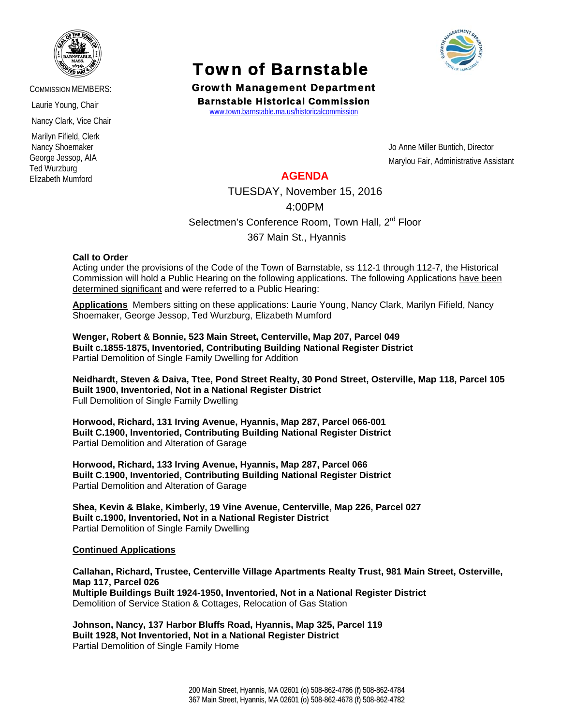

COMMISSION MEMBERS:

Laurie Young, Chair

Nancy Clark, Vice Chair

 Marilyn Fifield, Clerk Nancy Shoemaker George Jessop, AIA Ted Wurzburg Elizabeth Mumford

# **Town of Barnstable**<br>Growth Management Department



Barnstable Historical Commission www.town.barnstable.ma.us/historicalcommission

Jo Anne Miller Buntich, Director Marylou Fair, Administrative Assistant

## **AGENDA**

TUESDAY, November 15, 2016

4:00PM

Selectmen's Conference Room, Town Hall, 2<sup>rd</sup> Floor

367 Main St., Hyannis

### **Call to Order**

Acting under the provisions of the Code of the Town of Barnstable, ss 112-1 through 112-7, the Historical Commission will hold a Public Hearing on the following applications. The following Applications have been determined significant and were referred to a Public Hearing:

**Applications** Members sitting on these applications: Laurie Young, Nancy Clark, Marilyn Fifield, Nancy Shoemaker, George Jessop, Ted Wurzburg, Elizabeth Mumford

**Wenger, Robert & Bonnie, 523 Main Street, Centerville, Map 207, Parcel 049 Built c.1855-1875, Inventoried, Contributing Building National Register District**  Partial Demolition of Single Family Dwelling for Addition

**Neidhardt, Steven & Daiva, Ttee, Pond Street Realty, 30 Pond Street, Osterville, Map 118, Parcel 105 Built 1900, Inventoried, Not in a National Register District**  Full Demolition of Single Family Dwelling

**Horwood, Richard, 131 Irving Avenue, Hyannis, Map 287, Parcel 066-001 Built C.1900, Inventoried, Contributing Building National Register District**  Partial Demolition and Alteration of Garage

**Horwood, Richard, 133 Irving Avenue, Hyannis, Map 287, Parcel 066 Built C.1900, Inventoried, Contributing Building National Register District**  Partial Demolition and Alteration of Garage

**Shea, Kevin & Blake, Kimberly, 19 Vine Avenue, Centerville, Map 226, Parcel 027 Built c.1900, Inventoried, Not in a National Register District**  Partial Demolition of Single Family Dwelling

### **Continued Applications**

**Callahan, Richard, Trustee, Centerville Village Apartments Realty Trust, 981 Main Street, Osterville, Map 117, Parcel 026 Multiple Buildings Built 1924-1950, Inventoried, Not in a National Register District**  Demolition of Service Station & Cottages, Relocation of Gas Station

**Johnson, Nancy, 137 Harbor Bluffs Road, Hyannis, Map 325, Parcel 119 Built 1928, Not Inventoried, Not in a National Register District**  Partial Demolition of Single Family Home